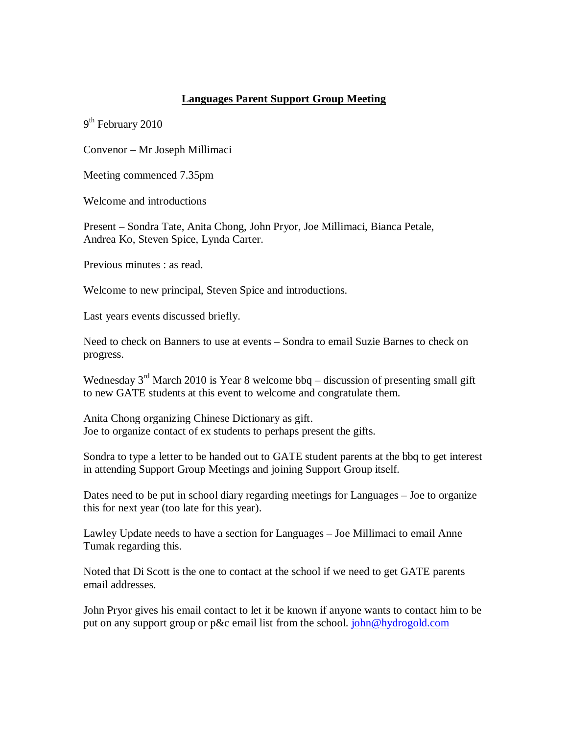## **Languages Parent Support Group Meeting**

9<sup>th</sup> February 2010

Convenor – Mr Joseph Millimaci

Meeting commenced 7.35pm

Welcome and introductions

Present – Sondra Tate, Anita Chong, John Pryor, Joe Millimaci, Bianca Petale, Andrea Ko, Steven Spice, Lynda Carter.

Previous minutes : as read.

Welcome to new principal, Steven Spice and introductions.

Last years events discussed briefly.

Need to check on Banners to use at events – Sondra to email Suzie Barnes to check on progress.

Wednesday  $3<sup>rd</sup>$  March 2010 is Year 8 welcome bbq – discussion of presenting small gift to new GATE students at this event to welcome and congratulate them.

Anita Chong organizing Chinese Dictionary as gift. Joe to organize contact of ex students to perhaps present the gifts.

Sondra to type a letter to be handed out to GATE student parents at the bbq to get interest in attending Support Group Meetings and joining Support Group itself.

Dates need to be put in school diary regarding meetings for Languages – Joe to organize this for next year (too late for this year).

Lawley Update needs to have a section for Languages – Joe Millimaci to email Anne Tumak regarding this.

Noted that Di Scott is the one to contact at the school if we need to get GATE parents email addresses.

John Pryor gives his email contact to let it be known if anyone wants to contact him to be put on any support group or p&c email list from the school. john@hydrogold.com